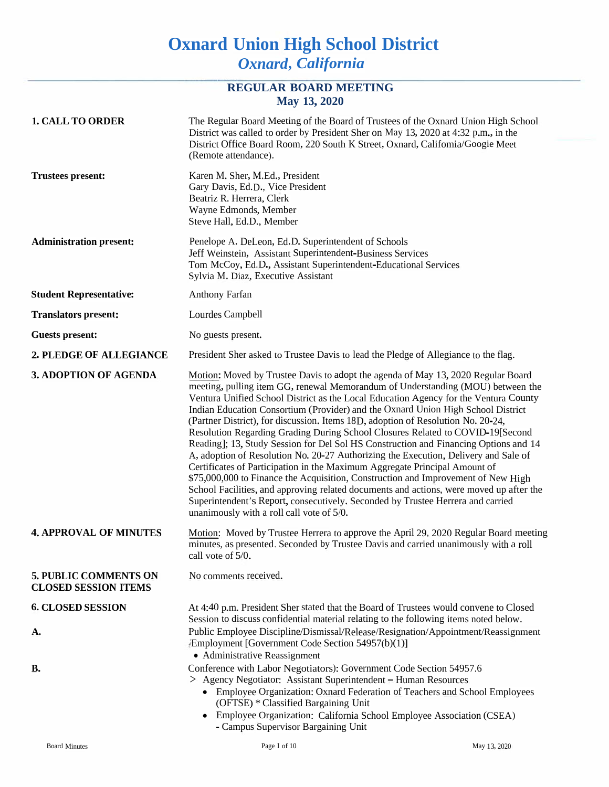# **Oxnard Union High School District** *Oxnard***,** *California*

# **REGULAR BOARD MEETING May 13, 2020**

| <b>1. CALL TO ORDER</b>                              | The Regular Board Meeting of the Board of Trustees of the Oxnard Union High School<br>District was called to order by President Sher on May 13, 2020 at 4:32 p.m., in the<br>District Office Board Room, 220 South K Street, Oxnard, Califomia/Googie Meet<br>(Remote attendance).                                                                                                                                                                                                                                                                                                                                                                                                                                                                                                                                                                                                                                                                                                                                                                                                                 |
|------------------------------------------------------|----------------------------------------------------------------------------------------------------------------------------------------------------------------------------------------------------------------------------------------------------------------------------------------------------------------------------------------------------------------------------------------------------------------------------------------------------------------------------------------------------------------------------------------------------------------------------------------------------------------------------------------------------------------------------------------------------------------------------------------------------------------------------------------------------------------------------------------------------------------------------------------------------------------------------------------------------------------------------------------------------------------------------------------------------------------------------------------------------|
| <b>Trustees present:</b>                             | Karen M. Sher, M.Ed., President<br>Gary Davis, Ed.D., Vice President<br>Beatriz R. Herrera, Clerk<br>Wayne Edmonds, Member<br>Steve Hall, Ed.D., Member                                                                                                                                                                                                                                                                                                                                                                                                                                                                                                                                                                                                                                                                                                                                                                                                                                                                                                                                            |
| <b>Administration present:</b>                       | Penelope A. DeLeon, Ed.D. Superintendent of Schools<br>Jeff Weinstein, Assistant Superintendent-Business Services<br>Tom McCoy, Ed.D., Assistant Superintendent-Educational Services<br>Sylvia M. Diaz, Executive Assistant                                                                                                                                                                                                                                                                                                                                                                                                                                                                                                                                                                                                                                                                                                                                                                                                                                                                        |
| <b>Student Representative:</b>                       | <b>Anthony Farfan</b>                                                                                                                                                                                                                                                                                                                                                                                                                                                                                                                                                                                                                                                                                                                                                                                                                                                                                                                                                                                                                                                                              |
| <b>Translators present:</b>                          | Lourdes Campbell                                                                                                                                                                                                                                                                                                                                                                                                                                                                                                                                                                                                                                                                                                                                                                                                                                                                                                                                                                                                                                                                                   |
| <b>Guests present:</b>                               | No guests present.                                                                                                                                                                                                                                                                                                                                                                                                                                                                                                                                                                                                                                                                                                                                                                                                                                                                                                                                                                                                                                                                                 |
| 2. PLEDGE OF ALLEGIANCE                              | President Sher asked to Trustee Davis to lead the Pledge of Allegiance to the flag.                                                                                                                                                                                                                                                                                                                                                                                                                                                                                                                                                                                                                                                                                                                                                                                                                                                                                                                                                                                                                |
| <b>3. ADOPTION OF AGENDA</b>                         | Motion: Moved by Trustee Davis to adopt the agenda of May 13, 2020 Regular Board<br>meeting, pulling item GG, renewal Memorandum of Understanding (MOU) between the<br>Ventura Unified School District as the Local Education Agency for the Ventura County<br>Indian Education Consortium (Provider) and the Oxnard Union High School District<br>(Partner District), for discussion. Items 18D, adoption of Resolution No. 20-24,<br>Resolution Regarding Grading During School Closures Related to COVID-19[Second<br>Reading]; 13, Study Session for Del Sol HS Construction and Financing Options and 14<br>A, adoption of Resolution No. 20-27 Authorizing the Execution, Delivery and Sale of<br>Certificates of Participation in the Maximum Aggregate Principal Amount of<br>\$75,000,000 to Finance the Acquisition, Construction and Improvement of New High<br>School Facilities, and approving related documents and actions, were moved up after the<br>Superintendent's Report, consecutively. Seconded by Trustee Herrera and carried<br>unanimously with a roll call vote of 5/0. |
| <b>4. APPROVAL OF MINUTES</b>                        | Motion: Moved by Trustee Herrera to approve the April 29, 2020 Regular Board meeting<br>minutes, as presented. Seconded by Trustee Davis and carried unanimously with a roll<br>call vote of $5/0$ .                                                                                                                                                                                                                                                                                                                                                                                                                                                                                                                                                                                                                                                                                                                                                                                                                                                                                               |
| 5. PUBLIC COMMENTS ON<br><b>CLOSED SESSION ITEMS</b> | No comments received.                                                                                                                                                                                                                                                                                                                                                                                                                                                                                                                                                                                                                                                                                                                                                                                                                                                                                                                                                                                                                                                                              |
| <b>6. CLOSED SESSION</b><br>Α.                       | At 4:40 p.m. President Sher stated that the Board of Trustees would convene to Closed<br>Session to discuss confidential material relating to the following items noted below.<br>Public Employee Discipline/Dismissal/Release/Resignation/Appointment/Reassignment<br>/Employment [Government Code Section 54957(b)(1)]<br>• Administrative Reassignment                                                                                                                                                                                                                                                                                                                                                                                                                                                                                                                                                                                                                                                                                                                                          |
| <b>B.</b>                                            | Conference with Labor Negotiators): Government Code Section 54957.6<br>> Agency Negotiator: Assistant Superintendent - Human Resources<br>• Employee Organization: Oxnard Federation of Teachers and School Employees<br>(OFTSE) * Classified Bargaining Unit<br>• Employee Organization: California School Employee Association (CSEA)<br>- Campus Supervisor Bargaining Unit                                                                                                                                                                                                                                                                                                                                                                                                                                                                                                                                                                                                                                                                                                                     |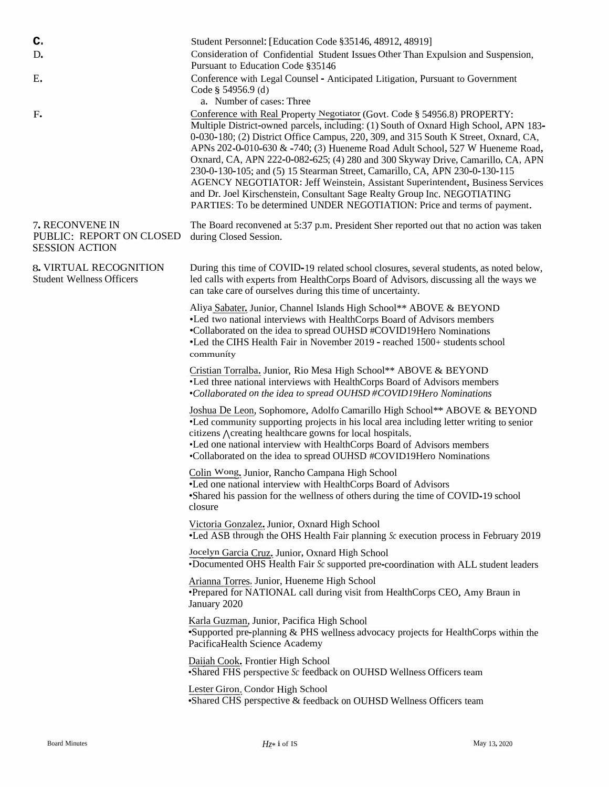| c.<br>D.<br>Ε.<br>$F_{\bullet}$                                      | Student Personnel: [Education Code §35146, 48912, 48919]<br>Consideration of Confidential Student Issues Other Than Expulsion and Suspension,<br>Pursuant to Education Code §35146<br>Conference with Legal Counsel - Anticipated Litigation, Pursuant to Government<br>Code § 54956.9 (d)<br>a. Number of cases: Three<br>Conference with Real Property Negotiator (Govt. Code § 54956.8) PROPERTY:<br>Multiple District-owned parcels, including: (1) South of Oxnard High School, APN 183-<br>0-030-180; (2) District Office Campus, 220, 309, and 315 South K Street, Oxnard, CA,<br>APNs 202-0-010-630 & -740; (3) Hueneme Road Adult School, 527 W Hueneme Road,<br>Oxnard, CA, APN 222-0-082-625; (4) 280 and 300 Skyway Drive, Camarillo, CA, APN<br>230-0-130-105; and (5) 15 Stearman Street, Camarillo, CA, APN 230-0-130-115<br>AGENCY NEGOTIATOR: Jeff Weinstein, Assistant Superintendent, Business Services<br>and Dr. Joel Kirschenstein, Consultant Sage Realty Group Inc. NEGOTIATING<br>PARTIES: To be determined UNDER NEGOTIATION: Price and terms of payment. |
|----------------------------------------------------------------------|-------------------------------------------------------------------------------------------------------------------------------------------------------------------------------------------------------------------------------------------------------------------------------------------------------------------------------------------------------------------------------------------------------------------------------------------------------------------------------------------------------------------------------------------------------------------------------------------------------------------------------------------------------------------------------------------------------------------------------------------------------------------------------------------------------------------------------------------------------------------------------------------------------------------------------------------------------------------------------------------------------------------------------------------------------------------------------------|
| 7. RECONVENE IN<br>PUBLIC: REPORT ON CLOSED<br><b>SESSION ACTION</b> | The Board reconvened at 5:37 p.m. President Sher reported out that no action was taken<br>during Closed Session.                                                                                                                                                                                                                                                                                                                                                                                                                                                                                                                                                                                                                                                                                                                                                                                                                                                                                                                                                                    |
| 8. VIRTUAL RECOGNITION<br><b>Student Wellness Officers</b>           | During this time of COVID-19 related school closures, several students, as noted below,<br>led calls with experts from HealthCorps Board of Advisors, discussing all the ways we<br>can take care of ourselves during this time of uncertainty.                                                                                                                                                                                                                                                                                                                                                                                                                                                                                                                                                                                                                                                                                                                                                                                                                                     |
|                                                                      | Aliya Sabater, Junior, Channel Islands High School** ABOVE & BEYOND<br>. Led two national interviews with HealthCorps Board of Advisors members<br>•Collaborated on the idea to spread OUHSD #COVID19Hero Nominations<br>•Led the CIHS Health Fair in November 2019 - reached 1500+ students school<br>community                                                                                                                                                                                                                                                                                                                                                                                                                                                                                                                                                                                                                                                                                                                                                                    |
|                                                                      | Cristian Torralba, Junior, Rio Mesa High School** ABOVE & BEYOND<br>•Led three national interviews with HealthCorps Board of Advisors members<br>•Collaborated on the idea to spread OUHSD #COVID19Hero Nominations                                                                                                                                                                                                                                                                                                                                                                                                                                                                                                                                                                                                                                                                                                                                                                                                                                                                 |
|                                                                      | Joshua De Leon, Sophomore, Adolfo Camarillo High School** ABOVE & BEYOND<br>•Led community supporting projects in his local area including letter writing to senior<br>citizens Acreating healthcare gowns for local hospitals.<br>•Led one national interview with HealthCorps Board of Advisors members<br>•Collaborated on the idea to spread OUHSD #COVID19Hero Nominations                                                                                                                                                                                                                                                                                                                                                                                                                                                                                                                                                                                                                                                                                                     |
|                                                                      | Colin Wong, Junior, Rancho Campana High School<br>•Led one national interview with HealthCorps Board of Advisors<br>•Shared his passion for the wellness of others during the time of COVID-19 school<br>closure                                                                                                                                                                                                                                                                                                                                                                                                                                                                                                                                                                                                                                                                                                                                                                                                                                                                    |
|                                                                      | Victoria Gonzalez, Junior, Oxnard High School<br>•Led ASB through the OHS Health Fair planning $\delta c$ execution process in February 2019                                                                                                                                                                                                                                                                                                                                                                                                                                                                                                                                                                                                                                                                                                                                                                                                                                                                                                                                        |
|                                                                      | Jocelyn Garcia Cruz, Junior, Oxnard High School<br>•Documented OHS Health Fair Sc supported pre-coordination with ALL student leaders                                                                                                                                                                                                                                                                                                                                                                                                                                                                                                                                                                                                                                                                                                                                                                                                                                                                                                                                               |
|                                                                      | Arianna Torres, Junior, Hueneme High School<br>•Prepared for NATIONAL call during visit from HealthCorps CEO, Amy Braun in<br>January 2020                                                                                                                                                                                                                                                                                                                                                                                                                                                                                                                                                                                                                                                                                                                                                                                                                                                                                                                                          |
|                                                                      | Karla Guzman, Junior, Pacifica High School<br>•Supported pre-planning & PHS wellness advocacy projects for HealthCorps within the<br>PacificaHealth Science Academy                                                                                                                                                                                                                                                                                                                                                                                                                                                                                                                                                                                                                                                                                                                                                                                                                                                                                                                 |
|                                                                      | Daiiah Cook, Frontier High School<br>•Shared FHS perspective Sc feedback on OUHSD Wellness Officers team                                                                                                                                                                                                                                                                                                                                                                                                                                                                                                                                                                                                                                                                                                                                                                                                                                                                                                                                                                            |
|                                                                      | Lester Giron, Condor High School<br>•Shared CHS perspective & feedback on OUHSD Wellness Officers team                                                                                                                                                                                                                                                                                                                                                                                                                                                                                                                                                                                                                                                                                                                                                                                                                                                                                                                                                                              |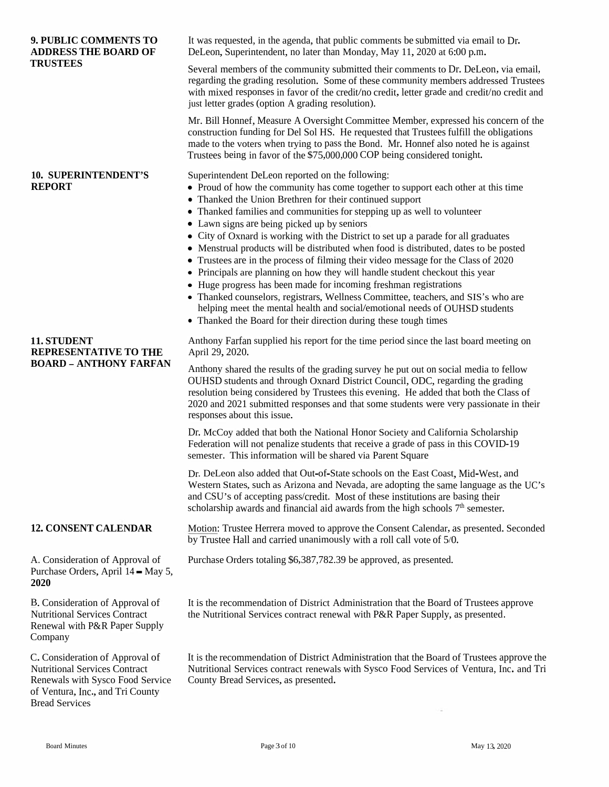| <b>9. PUBLIC COMMENTS TO</b><br><b>ADDRESS THE BOARD OF</b><br><b>TRUSTEES</b>                                                                                           | It was requested, in the agenda, that public comments be submitted via email to Dr.<br>DeLeon, Superintendent, no later than Monday, May 11, 2020 at 6:00 p.m.                                                                                                                                                                                                                                                                                                                                                                                                                                                                                                                                                                                                                                                                                                                                                                                                                                |
|--------------------------------------------------------------------------------------------------------------------------------------------------------------------------|-----------------------------------------------------------------------------------------------------------------------------------------------------------------------------------------------------------------------------------------------------------------------------------------------------------------------------------------------------------------------------------------------------------------------------------------------------------------------------------------------------------------------------------------------------------------------------------------------------------------------------------------------------------------------------------------------------------------------------------------------------------------------------------------------------------------------------------------------------------------------------------------------------------------------------------------------------------------------------------------------|
|                                                                                                                                                                          | Several members of the community submitted their comments to Dr. DeLeon, via email,<br>regarding the grading resolution. Some of these community members addressed Trustees<br>with mixed responses in favor of the credit/no credit, letter grade and credit/no credit and<br>just letter grades (option A grading resolution).                                                                                                                                                                                                                                                                                                                                                                                                                                                                                                                                                                                                                                                              |
|                                                                                                                                                                          | Mr. Bill Honnef, Measure A Oversight Committee Member, expressed his concern of the<br>construction funding for Del Sol HS. He requested that Trustees fulfill the obligations<br>made to the voters when trying to pass the Bond. Mr. Honnef also noted he is against<br>Trustees being in favor of the \$75,000,000 COP being considered tonight.                                                                                                                                                                                                                                                                                                                                                                                                                                                                                                                                                                                                                                           |
| <b>10. SUPERINTENDENT'S</b><br><b>REPORT</b>                                                                                                                             | Superintendent DeLeon reported on the following:<br>• Proud of how the community has come together to support each other at this time<br>• Thanked the Union Brethren for their continued support<br>• Thanked families and communities for stepping up as well to volunteer<br>• Lawn signs are being picked up by seniors<br>• City of Oxnard is working with the District to set up a parade for all graduates<br>• Menstrual products will be distributed when food is distributed, dates to be posted<br>• Trustees are in the process of filming their video message for the Class of 2020<br>• Principals are planning on how they will handle student checkout this year<br>• Huge progress has been made for incoming freshman registrations<br>• Thanked counselors, registrars, Wellness Committee, teachers, and SIS's who are<br>helping meet the mental health and social/emotional needs of OUHSD students<br>• Thanked the Board for their direction during these tough times |
| 11. STUDENT<br><b>REPRESENTATIVE TO THE</b><br><b>BOARD - ANTHONY FARFAN</b>                                                                                             | Anthony Farfan supplied his report for the time period since the last board meeting on<br>April 29, 2020.<br>Anthony shared the results of the grading survey he put out on social media to fellow<br>OUHSD students and through Oxnard District Council, ODC, regarding the grading<br>resolution being considered by Trustees this evening. He added that both the Class of                                                                                                                                                                                                                                                                                                                                                                                                                                                                                                                                                                                                                 |
|                                                                                                                                                                          | 2020 and 2021 submitted responses and that some students were very passionate in their<br>responses about this issue.                                                                                                                                                                                                                                                                                                                                                                                                                                                                                                                                                                                                                                                                                                                                                                                                                                                                         |
|                                                                                                                                                                          | Dr. McCoy added that both the National Honor Society and California Scholarship<br>Federation will not penalize students that receive a grade of pass in this COVID-19<br>semester. This information will be shared via Parent Square                                                                                                                                                                                                                                                                                                                                                                                                                                                                                                                                                                                                                                                                                                                                                         |
|                                                                                                                                                                          | Dr. DeLeon also added that Out-of-State schools on the East Coast, Mid-West, and<br>Western States, such as Arizona and Nevada, are adopting the same language as the UC's<br>and CSU's of accepting pass/credit. Most of these institutions are basing their<br>scholarship awards and financial aid awards from the high schools 7 <sup>th</sup> semester.                                                                                                                                                                                                                                                                                                                                                                                                                                                                                                                                                                                                                                  |
| <b>12. CONSENT CALENDAR</b>                                                                                                                                              | Motion: Trustee Herrera moved to approve the Consent Calendar, as presented. Seconded<br>by Trustee Hall and carried unanimously with a roll call vote of 5/0.                                                                                                                                                                                                                                                                                                                                                                                                                                                                                                                                                                                                                                                                                                                                                                                                                                |
| A. Consideration of Approval of<br>Purchase Orders, April 14 - May 5,<br>2020                                                                                            | Purchase Orders totaling \$6,387,782.39 be approved, as presented.                                                                                                                                                                                                                                                                                                                                                                                                                                                                                                                                                                                                                                                                                                                                                                                                                                                                                                                            |
| B. Consideration of Approval of<br><b>Nutritional Services Contract</b><br>Renewal with P&R Paper Supply<br>Company                                                      | It is the recommendation of District Administration that the Board of Trustees approve<br>the Nutritional Services contract renewal with P&R Paper Supply, as presented.                                                                                                                                                                                                                                                                                                                                                                                                                                                                                                                                                                                                                                                                                                                                                                                                                      |
| C. Consideration of Approval of<br><b>Nutritional Services Contract</b><br>Renewals with Sysco Food Service<br>of Ventura, Inc., and Tri County<br><b>Bread Services</b> | It is the recommendation of District Administration that the Board of Trustees approve the<br>Nutritional Services contract renewals with Sysco Food Services of Ventura, Inc. and Tri<br>County Bread Services, as presented.                                                                                                                                                                                                                                                                                                                                                                                                                                                                                                                                                                                                                                                                                                                                                                |
|                                                                                                                                                                          |                                                                                                                                                                                                                                                                                                                                                                                                                                                                                                                                                                                                                                                                                                                                                                                                                                                                                                                                                                                               |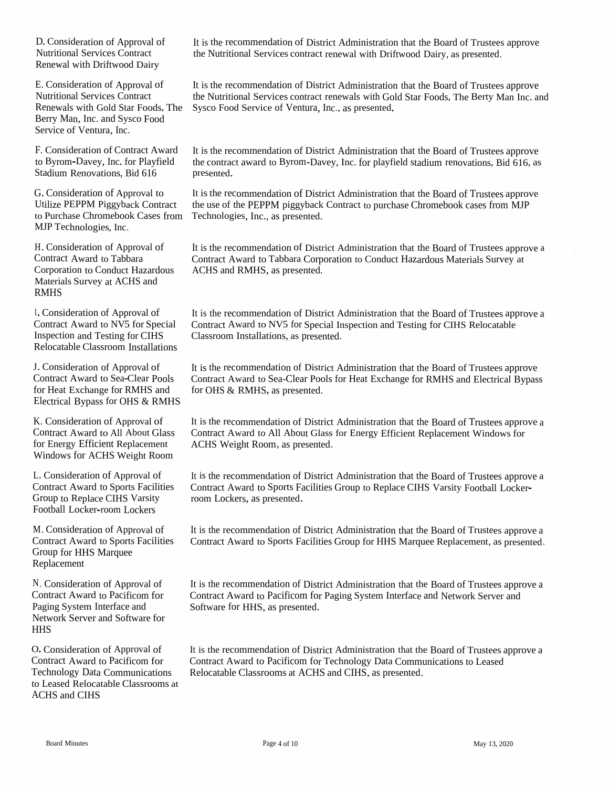D. Consideration of Approval of Nutritional Services Contract Renewal with Driftwood Dairy

E. Consideration of Approval of Nutritional Services Contract Renewals with Gold Star Foods, The Sysco<br>Borry Man, Inc. and Sysco Faced Berry Man, Inc. and Sysco FoodService of Ventura, Inc.

F. Consideration of Contract Awardto Byrom-Davey, Inc. for PlayfieldStadium Renovations, Bid 616 presented.

G. ConsiderationUtilize PEPPMUtilize PEPPM Piggyback Contract the use of the PEPPM piggyback<br>to Purchase Chromebook Cases from Technologies, Inc., as presented.<br>MJP Technologies, Inc. MJP Technologies, Inc.

H. Consideration of Approval of Contract Award to Tabbara<br>Comparation to Canduat Ha Corporation to Conduct Hazardous<br>Materials Summer of AGUS and Materials Survey at ACHS and<br>рмия RMHS

I. ConsiderationContract Award to NV5<br>Increation and Testing f Inspection and Testing for CIHSInspection and Testing for CIHS Classroom Installations, as presented.<br>Relocatable Classroom Installations

J. Consideration of Approval of Contract Award to Sea-Clear Pools for Heat Exchange for RMHS and<br>Electrical Pyness for OUS & PMI Electrical Bypass for OHS & RMHS

K. Consideration of Approval of<br>Contract Award to All About Cl Contract Award to All About Glass for Energy Efficient Replacement Windows for ACHS Weight Room

L. Consideration of Approval of<br>Contract Amerika Spects Fecilia Contract Award to Sports Facilities<br>Croup to Barlage CIUS Versity Group to Replace CIHS Varsity<br>Football Locker-room Lockers Football Locker-room Lockers

M. Consideration of Approval of Contract Award to Sports Facilities Group for HHS Marquee Replacement

N. Consideration of Approval of Contract Award to Pacificom for Paging SystemPaging System Interface and<br>Network Server and Software for<br>UUIS **HHS** 

O. Consideration of Approval of Contract Award to Pacificom Contract Award to Pacificom for<br>Technology Data Communications<br>to Lessed Releastable Channel to Leased Relocatable Classrooms at<br>ACUS and CUIS ACHS and CIHS

It is the recommendation of District Administration that the Board of Trustees approve<br>the Nutritional Services contract are surel with Driftwood Deiry as approximated the Nutritional Services contract renewal with Driftwood Dairy, as presented.

 Food Service of Ventura, Inc., as presented. It is the recommendation of District Administration that the Board of Trustees approve<br>the Nutritional Services contrast repoyals with Gold Star Fanda The Darty Man Inc. o the Nutritional Services contract renewals with Gold Star Foods, The Berty Man Inc. and<br>Suses Food Service of Venture, Inc., as presented

It is the recommendation of District Administration that the Board of Trustees approve the contract award to Byrom-Davey, Inc. for <sup>p</sup>layfield stadium renovations, Bid <sup>616</sup>, as

n of Approval to It is the recommendation of District Administration that the Board of Trustees approve<br>Biggy healt Contract the use of the BEBBM pieces healt Contract to purchase Chromehoels assess from MD the use of the PEPPM piggyback Contract to purchase Chromebook cases from MJP Technologies, Inc., as presented.

> It is the recommendation of District Administration that the Board of Trustees approve a<br>Contract Arrord to Tabbase Comparation to Conduct Hazardous Materials Summar of Contract Award to Tabbara Corporation to Conduct Hazardous Materials Survey at ACHS and RMHS, as presented.

n of Approval of It is the recommendation of District Administration that the Board of Trustees approve a<br>d to NW5 for Special Contract Award to NW5 for Special Inspection and Testing for CIUS Pelegateble for Special Contract Award to NV<sup>5</sup> for Special Inspection and Testing for CIHS Relocatable Classroom Installations, as presented.

> It is the recommendation of District Administration that the Board of Trustees approve<br>Contract Award to See Clear Boals for Heat Exchange for DMUS and Electrical Dynas Contract Award to Sea-Clear Pools for Heat Exchange for RMHS and Electrical Bypass<br>for OHS & RMHS, as presented for OHS & RMHS, as presented.

> It is the recommendation of District Administration that the Board of Trustees approve a<br>Contract Award to All About Class for Franzy Efficient Bonleagment Windows for Contract Award to All About Glass for Energy Efficient Replacement Windows for<br>ACUS Weight Ream, as researted ACHS Weight Room, as presented.

> It is the recommendation of District Administration that the Board of Trustees approve a<br>Contract Award to Sports Focilities Crown to Bankase CUIS Versity Fockholl Lackage Contract Award to Sports Facilities Group to Replace CIHS Varsity Football Locker- roomroom Lockers, as presented.

> It is the recommendation of District Administration that the Board of Trustees approve a<br>Contract Arrest to Sports Facilities Crown for HHS Mergues Berlesswert, as assessed Contract Award to Sports Facilities Group for HHS Marquee Replacement, as presented.

> It is the recommendation of District Administration that the Board of Trustees approve a<br>Contract Arrest to Board for Board for Board Surface and Network Security of Contract Award to Pacificom for Paging System Interface and Network Server and Software for HHS, as presented.

> It is the recommendation of District Administration that the Board of Trustees approve a<br>Contract Arrord to Board on Factual and Data Communications to Lancel Contract Award to Pacificom for Technology Data Communications to Leased Relocatable Classrooms at ACHS and CIHS, as presented.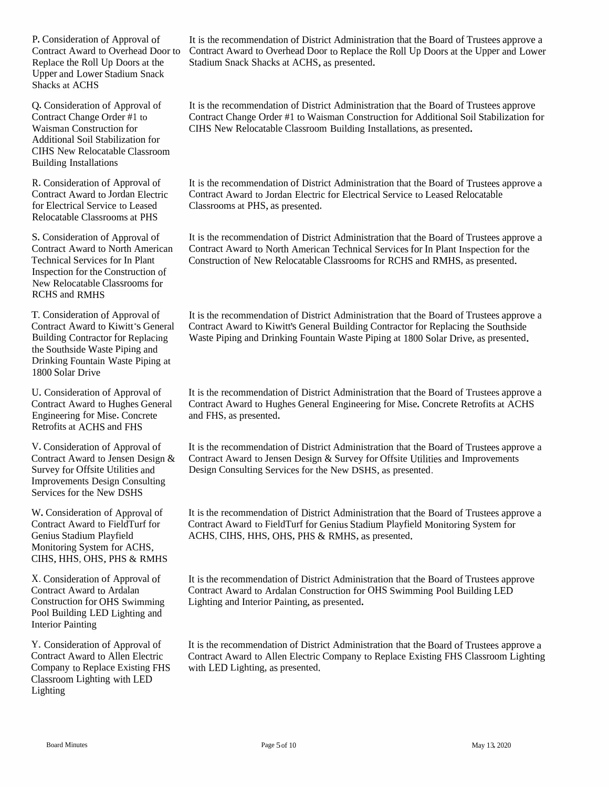P. Consideration of Approval of Contract Award to Overhead Door to Replace the Roll Up Doors at the Upper and Lower Stadium Snack Shacks at ACHS

Q. Consideration of Approval of Contract Change Order #1 to Waisman Construction for Additional Soil Stabilization for CIHS New Relocatable Classroom Building Installations

R. Consideration of Approval of Contract Award to Jordan Electric for Electrical Service to Leased Relocatable Classrooms at PHS

S. Consideration of Approval of Contract Award to North American Technical Services for In Plant Inspection for the Construction of New Relocatable Classrooms for RCHS and RMHS

T. Consideration of Approval of Contract Award to Kiwitt \*s General Building Contractor for Replacing the Southside Waste Piping and Drinking Fountain Waste Piping at 1800 Solar Drive

U. Consideration of Approval of Contract Award to Hughes General Engineering for Mise. Concrete Retrofits at ACHS and FHS

V.Consideration of Approval of Contract Award to Jensen Design & Survey for Offsite Utilities and Improvements Design Consulting Services for the New DSHS

W. Consideration of Approval of Contract Award to FieldTurf for Genius Stadium Playfield Monitoring System for ACHS, CIHS, HHS, OHS, PHS & RMHS

X. Consideration of Approval of Contract Award to Ardalan Construction for OHS Swimming Pool Building LED Lighting and Interior Painting

Y. Consideration of Approval of Contract Award to Allen Electric Company to Replace Existing FHS Classroom Lighting with LED Lighting

It is the recommendation of District Administration that the Board of Trustees approve <sup>a</sup> Contract Award to Overhead Door to Replace the Roll Up Doors at the Upper and Lower Stadium Snack Shacks at ACHS, as presented.

It is the recommendation of District Administration that the Board of Trustees approve Contract Change Order #1 to Waisman Construction for Additional Soil Stabilization for CIHS New Relocatable Classroom Building Installations, as presented.

It is the recommendation of District Administration that the Board of Trustees approve <sup>a</sup> Contract Award to Jordan Electric for Electrical Service to Leased Relocatable Classrooms at PHS, as presented.

It is the recommendation of District Administration that the Board of Trustees approve <sup>a</sup> Contract Award to North American Technical Services for In Plant Inspection for the Construction of New Relocatable Classrooms for RCHS and RMHS, as presented.

It is the recommendation of District Administration that the Board of Trustees approve <sup>a</sup> Contract Award to Kiwitt's General Building Contractor for Replacing the Southside Waste Piping and Drinking Fountain Waste Piping at 1800 Solar Drive, as presented.

It is the recommendation of District Administration that the Board of Trustees approve <sup>a</sup> Contract Award to Hughes General Engineering for Mise. Concrete Retrofits at ACHS and FHS, as presented.

It is the recommendation of District Administration that the Board of Trustees approve <sup>a</sup> Contract Award to Jensen Design & Survey for Offsite Utilities and Improvements Design Consulting Services for the New DSHS, as presented.

It is the recommendation of District Administration that the Board of Trustees approve <sup>a</sup> Contract Award to FieldTurf for Genius Stadium Playfield Monitoring System for ACHS, CIHS, HHS, OHS, PHS & RMHS, as presented.

It is the recommendation of District Administration that the Board of Trustees approve Contract Award to Ardalan Construction for OHS Swimming Pool Building LED Lighting and Interior Painting, as presented.

It is the recommendation of District Administration that the Board of Trustees approve <sup>a</sup> Contract Award to Allen Electric Company to Replace Existing FHS Classroom Lighting with LED Lighting, as presented.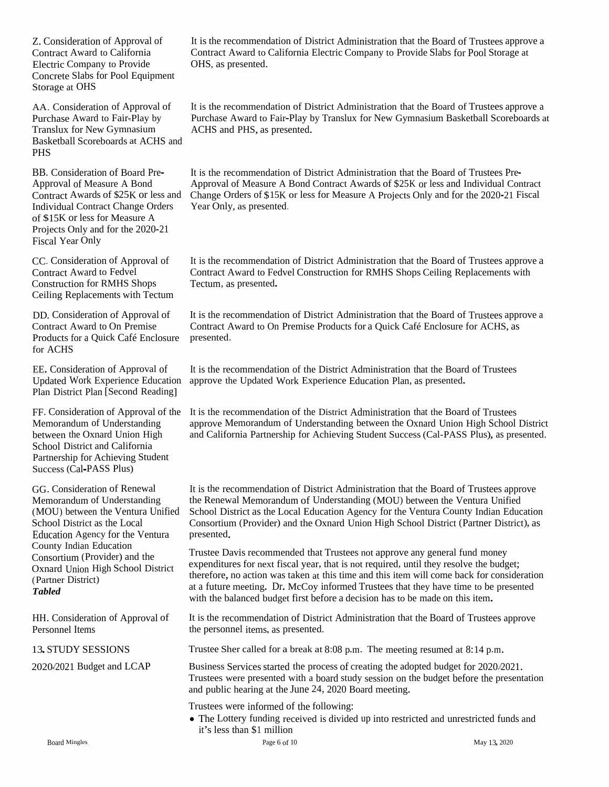Z. Consideration of Approval of Contract Award to California Electric Company to Provide Concrete Slabs for Pool Equipment Storage at OHS

AA. Consideration of Approval of Purchase Award to Fair-Play by Translux for New Gymnasium<br>Basketball Scoreboards at ACI Basketball Scoreboards at ACHS and<br>PLIS PHS

BB. ConsiderationBB. Consideration of Board Pre-<br>Approval of Measure A Bond<br>Contract Awards of \$25K or less Contract Awards of \$25KIndividual Contract ChangeIndividual Contract Change Orders Year Only, as presented.<br>Of \$15K or less for Measure A<br>Projects Only and for the 2020-21 Projects Only and for the 2020-21 Fiscal Year Only

CC. Consideration of Approval of Contract Award to Fedvel Construction for RMHS Shops Ceiling Replacements with Tectum

DD. Consideration of Approval of Contract Award to On Premise Products for a Quick Café Enclosure presented.<br>for ACHS for ACHS

EE. Consideration of Approval of **Updated Work Experience Education** Plan District Plan [Second Reading]

FF. ConsiderationMemorandum of Understanding Memorandum of Understanding<br>between the Oxnard Union High<br>Sabaal District and Colifornia School District and California Partnership for Achieving Student Success (Cal-PASS Plus)

GG. Consideration of Renewal Memorandum of Understanding (MOU) betweenEducation Agency for the Ventura presented.<br>County Indian Education County Indian Education Consortium (Provider) and the (Provider) and the Oxnard Union High School District (Partner District) *Tabled*School District as the Local

HH. Consideration of Approval of Personnel Items

13.STUDY SESSIONS

2020/2021 Budget and LCAP

It is the recommendation of District Administration that the Board of Trustees approve a<br>Clartest Agreed to Galifannia Flasteir General to Barriel St. Left. Beal Stemme at Contract Award to California Electric Company to Provide Slabs for Pool Storage at OHS, as presented.

It is the recommendation of District Administration that the Board of Trustees approve a<br>Presidence Arrest to E.i. Plan by Trustlyn for New Gausse i. as Deskribed in Secretary in Purchase Award to Fair-Play by Translux for New Gymnasium Basketball Scoreboards at ACHS and PHS, as presented.

K or less and Change Orders of \$15K or less for Measure A Projects Only and for the 2020-21 Fiscal<br>nge Orders — Year Only, as presented It is the recommendation It is the recommendation of District Administration that the Board of Trustees Pre-<br>Approval of Measure A Bond Contract Awards of \$25K or less and Individual Contract<br>Change Orders of \$15K or less for Measure A Projects On

> It is the recommendation of District Administration that the Board of Trustees approve a<br>Contract Armed to Federal Constanting for PMIS Shane Oillier Predsequents with Contract Award to Fedvel Construction for RMHS Shops Ceiling Replacements with Tectum, as presented.

> It is the recommendation of District Administration that the Board of Trustees approve a Contract Award to On Premise Products for <sup>a</sup> Quick Café Enclosure for ACHS, as

approve the Updated Work Experience Education Plan, as presented. It is the recommendation of the District Administration that the Board of Trustees

n of Approval of the It is the recommendation of the District Administration that the Board of Trustees approve Memorandum of Understanding between the Oxnard Union High School District<br>and California Partnership for Achieving Student Success (Cal-PASS Plus), as presented. and California Partnership for Achieving Student Success (Cal-PASS Plus), as presented.

n of Renewal It is the recommendation of District Administration that the Board of Trustees approve the Renewal Memorandum of Understanding (MOU) between the Ventura Unified School District as the Local Education Agency for the Ventura County Indian Education Consortium (Provider) and the Oxnard Union High School District (Partner District), as

> Trustee Davis recommended that Trustees not approve any genera<sup>l</sup> fund moneyexpenditures for next fiscal year, that is not required, until they resolve the budget;<br>they feel as a setting most then the big time and this is a smill some had fee social therefore, no action was taken at this time and this itemtherefore, no action was taken at this time and this item will come back for consideration<br>at a future meeting. Dr. McCoy informed Trustees that they have time to be presented<br>with the halomed by the first halomed and this with the balanced budget first before <sup>a</sup> decision has to be made on this item.

It is the recommendation of District Administration that the Board of Trustees approve the personne<sup>l</sup> items, as presented.

Trustee Sher called for <sup>a</sup> break at 8:08 p.m. The meeting resumed at 8:14 p.m.

Business Services started the process of creating the adopted budget for 2020/2021. Trustees were presented with a board study session on the budget before the presentation<br>and multis has in a the lune 24, 2020 Beard masting. and public hearing at the June 24, <sup>2020</sup> Board meeting.

- Trustees were informed of the following:
- The Lottery funding received is divided up into restricted and unrestricted funds and<br>it's lay that  $\mathbb{R}^1$  will be it's less than \$1 million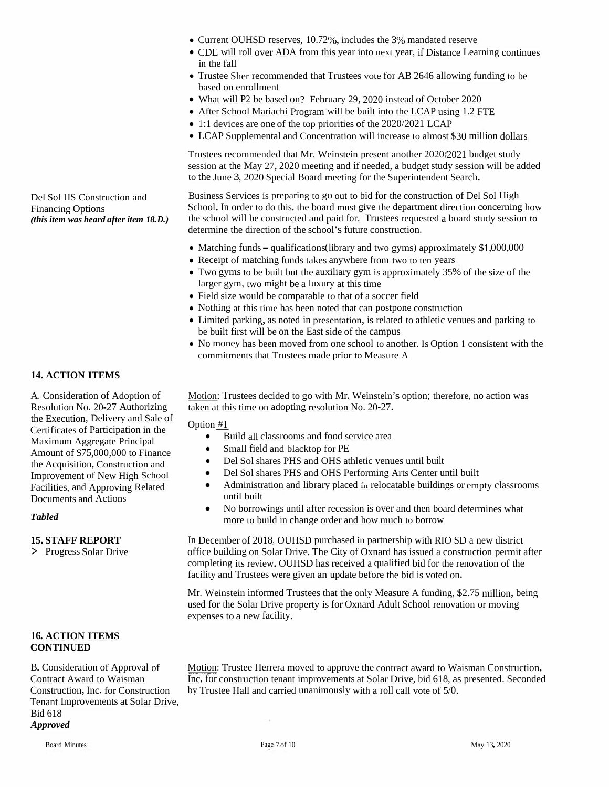Del Sol HS Construction and Financing Options *(this item was heard after item 18.D.)*

## **14. ACTION ITEMS**

A. Consideration of Adoption of Resolution No. 20-27 Authorizing the Execution, Delivery and Sale of Certificates of Participation in the Maximum Aggregate Principal Amount of \$75,000,000 to Finance the Acquisition, Construction and Improvement of New High School Facilities, and Approving Related Documents and Actions

## **16. ACTION ITEMS CONTINUED**

B. Consideration of Approval of Contract Award to Waisman Construction, Inc. for Construction Tenant Improvements at Solar Drive, Bid 618 *Approved*

- Current OUHSD reserves, 10.72%, includes the 3% mandated reserve
- CDE will roll over ADA from this year into next year, if Distance Learning continues in the fall
- Trustee Sher recommended that Trustees vote for AB <sup>2646</sup> allowing funding to be based on enrollment
- What will P2 be based on? February 29, 2020 instead of October 2020
- After School Mariachi Program will be built into the LCAP using 1.2 FTE
- 1:1 devices are one of the top priorities of the 2020/2021 LCAP
- LCAP Supplemental and Concentration will increase to almost \$30 million dollars

Trustees recommended that Mr. Weinstein presen<sup>t</sup> another 2020'2021 budget study session at the May 27, 2020 meeting and if needed, <sup>a</sup> budget study session will be added to the June 3, 2020 Special Board meeting for the Superintendent Search.

Business Services is preparing to go out to bid for the construction of Del Sol High School. In order to do this, the board must <sup>g</sup>ive the department direction concerning how the school will be constructed and paid for. Trustees requested <sup>a</sup> board study session to determine the direction of the school's future construction.

- Matching funds qualifications (library and two gyms) approximately \$1,000,000
- Receipt of matching funds takes anywhere from two to ten years
- Two gyms to be built but the auxiliary gym is approximately 35% of the size of the larger gym, two might be <sup>a</sup> luxury at this time
- Field size would be comparable to that of <sup>a</sup> soccer field
- Nothing at this time has been noted that can postpone construction
- Limited parking, as noted in presentation, is related to athletic venues and parking to be built first will be on the East side of the campus
- No money has been moved from one school to another. Is Option <sup>1</sup> consistent with the commitments that Trustees made prior to Measure <sup>A</sup>

Motion: Trustees decided to go with Mr. Weinstein's option; therefore, no action was taken at this time on adopting resolution No. 20-27.

Option #1

- Build all classrooms and food service area
- Small field and blacktop for PE
- Del Sol shares PHS and OHS athletic venues until built
- Del Sol shares PHS and OHS Performing Arts Center until built
- Administration and library placed in relocatable buildings or empty classrooms until built
- No borrowings until after recession is over and then board determines what more to build in change order and how much to borrow

In December of 2018, OUHSD purchased in partnership with RIO SD <sup>a</sup> new district office building on Solar Drive. The City of Oxnard has issued <sup>a</sup> construction permit after completing its review. OUHSD has received <sup>a</sup> qualified bid for the renovation of the facility and Trustees were <sup>g</sup>iven an update before the bid is voted on. 15. **STAFF REPORT** In December of 2018, OU<br>
> Progress Solar Drive office building on Solar D<br>
completing its review. OU<br>
facility and Trustees were<br>
Mr. Weinstein informed T<br>
used for the Solar Drive p<br>
expenses to a new

Mr. Weinstein informed Trustees that the only Measure <sup>A</sup> funding, \$2.75 million, being used for the Solar Drive property is for Oxnard Adult School renovation or moving

Motion: Trustee Herrera moved to approve the contract award to Waisman Construction, Inc. for construction tenant improvements at Solar Drive, bid 618, as presented. Seconded by Trustee Hall and carried unanimously with <sup>a</sup> roll call vote of 5/0.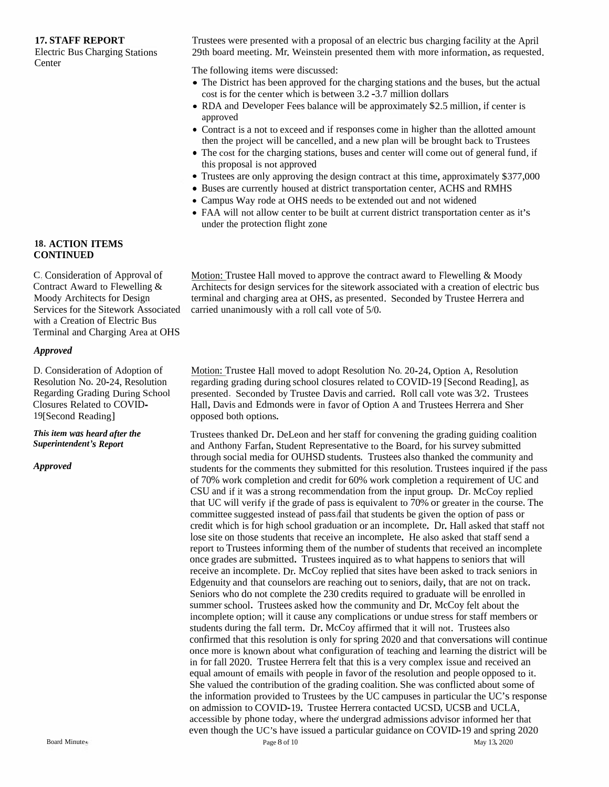# **17. STAFF REPORT**

 Electric Bus Charging Stations **Center** 

Trustees were presented with <sup>a</sup> proposa<sup>l</sup> of an electric bus charging facility at the April 29th board meeting. Mr. Weinstein presented them with more information, as requested.<br>The following items were discussed:

e following items were discussed:

- The District has been approved for the charging stations and the buses, but the actual next is for the actual in het was  $2.2 \times 2.7$  million dellars. cost is for the center which is between 3.2-3.7 million dollars
- RDA and Developer Fees balance will be approximately \$2.5 million, if center is approved approved
- Contract is a not to exceed and if responses come in higher than the allotted amount then the project will be cancelled and a new plan will be brought back to Trustees then the project will be cancelled, and a new plan will be brought back to Trustees<br>The cost for the charging stations, buses and center will come out of general fund
- The cost for the charging stations, buses and center will come out of general fund, if<br>this proposal is not approved this proposa<sup>l</sup> is not approve<sup>d</sup>
- Trustees are only approving the design contract at this time, approximately \$377,000
- Buses are currently housed at district transportation center, ACHS and RMHS<br>• Campus Way rode at OHS needs to be extended out and not widened
- Campus Way rode at OHS needs to be extended out and not widened
- FAA will not allow center to be built at current district transportation center as it's under the protection flight zone

<u>Motion:</u> Trustee Hall moved to approve the contract award to Flewelling &  $\lambda$ Motion: Trustee Hall moved to approve the contract award to Flewelling & Moody<br>Architects for design services for the sitework associated with a creation of electric bus<br>terminal and abancing area at OUS as greented. Seesn terminal and charging area at OHS, as presented. Seconded by Trustee Herrera and<br>corried unonimenals with a well will get of 5%

Motion: Trustee Hall moved to adopt Resolution No. 20-24, Option A, Resolution<br>receptive creding during school clasures related to COVID 10 [Second Beading] regarding grading during school closures related to COVID-19 [Second Reading], as presented. Seconded by Trustee Davis and carried. Roll call vote was 3/2. Trustees Hall, Davis and Edmonds were in favor of Option <sup>A</sup> and Trustees Herrera and Sher opposed both options.

Trustees thanked Dr. DeLeon and her staff for convening the grading guiding coalition and Anthony Farfan, Student Representative to the Board, for his survey submitted through social media for OUHSD students. Trustees also thanked the community and<br>students for the comments they submitted for this resolution. Trustees inquired if the r students for the comments they submitted for this resolution. Trustees inquired if the pass<br>of  $70\%$  weak completion and and it for  $60\%$  weak completion a genuinement of UG and of 70%of 70% work completion and credit for 60% work completion a requirement of UC and<br>CSU and if it was a strong recommendation from the input group. Dr. McCoy replied CSU and if it was a strong recommendation from the input group. Dr. McCoy replied<br>that UC will verify if the grade of pass is equivalent to 70% or greater in the course. The<br>committee suggested instead of pass/fail that st committee suggested instead of pass, fail that students be given the option of pass or<br>credit which is far high school organization as an incomplete. Dr. Hell school that at the credit which is for high school graduation or an incomplete. Dr. Hall asked that staff not<br>less site as these students that we see an incomplete. He also saked that staff and a lose site on those students that receive an incomplete. He also asked that staff send a<br>repeat to Trustees informing them of the number of students that received an incomplete report to Trustees informing them report to Trustees informing them of the number of students that received an incomplete<br>once grades are submitted. Trustees inquired as to what happens to seniors that will<br>receive an incomplete. During the students have b receive an incomplete. Dr. McCoy replied that sites have been asked to track seniors in<br>Edeenvisy and that courselors are reaching out to equipmentally that are not on track. Edgenuity and that counselors are reaching out to Edgenuity and that counselors are reaching out to seniors, daily, that are not on track.<br>Seniors who do not complete the 230 credits required to graduate will be enrolled in<br>summary school. Trustees school have the assumen summer school. Trustees asked how the community and Dr. McCoy felt about the<br>incomplete ortions will it cause ony complications or undue state for the fifth pamber summer school. Trustees asked how the community and Dr. McCoy felt about the<br>incomplete option; will it cause any complications or undue stress for staff members or<br>the data is the fall to a Dr. McCore of inned that it wil students during the fall term. Dr. McCoy affirmed that it will not. Trustees also<br>confirmed that this mealution is only for spring 2020 and that conversations will confirmed that this resolution is only for spring 2020 and that conversations will continue<br>cases mess is lreause short what configuration of teaching and learning the district will be once more is known about what configuration of teaching and learning the district will be<br>in for fell 2020. Tweeter Herrers felt that this is a summary large sense and massive day. in for fall 2020. Trustee Herrera felt that this is a very complex issue and received an equal amount of emails with people in favor of the resolution and people opposed to the resolution of the contribution of the condition of the conditions. equal amount of emails with people in favor of the resolution and people opposed to it.<br>She valued the contribution of the grading coalition. She was conflicted about some of the information provided to Trustees by the UC campuses in particular the UC's response<br>on admission to COVID-19. Trustee Herrera contacted HCSD, HCSB and HCLA on admission to COVID-19. Trustee Herrera contacted UCSD, UCSB and UCLA,<br>accessible by phone today, where the undergrad admissions advisor informed her t accessible by phone today, where the undergrad admissions advisor informed her that<br>here they the UG's have issued a nextigator avidance as COVID 10 and ensine 200 even though the UC's have issued a particular guidance on COVID-19 and spring 2020 d Minute<sup>\*</sup> Page 8

## **18. ACTION ITEMS CONTINUED**

C. Consideration of Approval of<br>Contract Award to Flavelling & Contract Award to Flewelling &<br>Moody Architects for Davism Moody Architects for Design<br>Services for the Sitemaals Ass Services for the Sitework Associated<br>with a Cuastian of Flastiis Bus Services for the Sitework Associated carried unanimously with a roll call vote of 5/0.<br>with a Creation of Electric Bus h a Creation of Electric Bus Terminal and Charging Area at OHS

## *Approved*

D. Consideration of Adoption of Resolution No. 20-24, ResolutionRegarding Grading During School<br>Clasures Balated to COVID Closures Related to COVID-<br>19[Second Reading] 19[Second Reading]

*This itemwas heard after the Superintendent's Report*

### *Approved*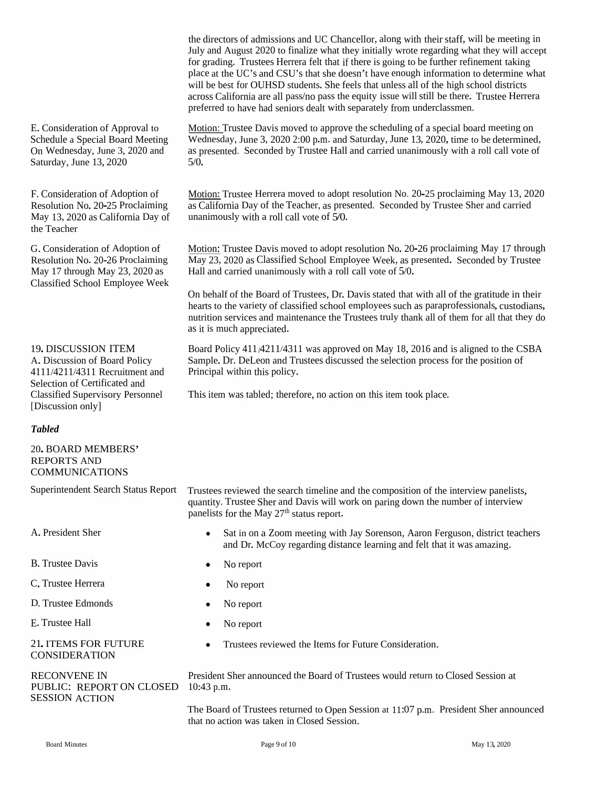the directors of admissions and UC Chancellor, along with their staff, will be meeting in July and August 2020 to finalize what they initially wrote regarding what they will accep<sup>t</sup> for grading. Trustees Herrera felt that if there is going to be further refinement taking place at the UC's and CSU's that she doesn't have enough information to determine what will be best for OUHSD students. She feels that unless all of the high school districts across California are all pass/no pass the equity issue will still be there. Trustee Herrera preferred to have had seniors dealt with separately from underclassmen.

Motion: Trustee Davis moved to approve the scheduling of <sup>a</sup> special board meeting on Wednesday, June 3, 2020 2:00 p.m. and Saturday, June 13, 2020, time to be determined, as presented. Seconded by Trustee Hall and carried unanimously with a roll call vote of  $5/0$ .

Motion: Trustee Herrera moved to adopt resolution No. 20-25 proclaiming May 13, 2020 as California Day of the Teacher, as presented. Seconded by Trustee Sher and carried unanimously with <sup>a</sup> roll call vote of 5/0.

Motion: Trustee Davis moved to adopt resolution No. 20-26 proclaiming May 17 through May 23, 2020 as Classified School Employee Week, as presented. Seconded by Trustee Hall and carried unanimously with <sup>a</sup> roll call vote of 5/0.

On behalf of the Board of Trustees, Dr. Davis stated that with all of the gratitude in their hearts to the variety of classified school employees such as paraprofessionals, custodians, nutrition services and maintenance the Trustees truly thank all of them for all that they do as it is much appreciated.

Board Policy <sup>411</sup> 4211/4311 was approve<sup>d</sup> on May 18, <sup>2016</sup> and is aligned to the CSBA Sample. Dr. DeLeon and Trustees discussed the selection process for the position of

This item was tabled; therefore, no action on this item took <sup>p</sup>lace.

E. Consideration of Approval to Schedule <sup>a</sup> Special Board Meeting On Wednesday, June 3, 2020 and Saturday, June 13, 2020

F. Consideration of Adoption of Resolution No. 20-25 Proclaiming May 13, 2020 as California Day of the Teacher

G.Consideration of Adoption of Resolution No. 20-26 Proclaiming May <sup>17</sup> through May 23, 2020 as Classified School Employee Week

19. DISCUSSION ITEM Board Policy 411/4211/4311<br>A. Discussion of Board Policy Sample. Dr. DeLeon and True 4111/4211/4311 Recruitment and Principal within this policy. Selection of Certificated and Classified Supervisory Personnel [Discussion only]

### *Tabled*

20.BOARD MEMBERS' REPORTS AND COMMUNICATIONS

A. President Sher

B. Trustee Davis

- C. Trustee Herrera
- D. Trustee Edmonds

E. Trustee Hall

21.ITEMS FOR FUTURE CONSIDERATION

PUBLIC: REPORT ON CLOSED 10:43 p.m. SESSION ACTION

Superintendent Search Status Report Trustees reviewed the search timeline and the composition of the interview panelists, quantity. Trustee Sher and Davis will work on paring down the number of interview panelists for the May  $27<sup>th</sup>$  status report.

- Sat in on a Zoom meeting with Jay Sorenson, Aaron Ferguson, district teachers and Dr. McCoy regarding distance learning and felt that it was amazing.
- No report
- No report
- No report
- No report
- Trustees reviewed the Items for Future Consideration.

RECONVENE IN President Sher announced the Board of Trustees would return to Closed Session at

The Board of Trustees returned to Open Session at 11:07 p.m. President Sher announced that no action was taken in Closed Session.